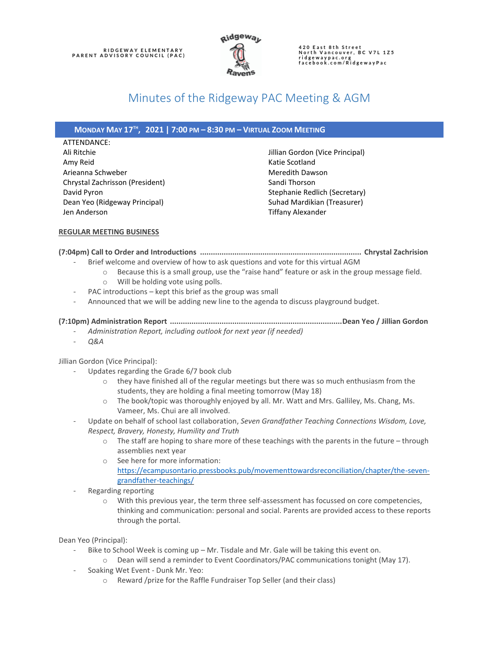

420 East 8th Street<br>North Vancouver, BC V7L 1Z5 ridgewaypac.org<br>facebook.com/RidgewayPac

# Minutes of the Ridgeway PAC Meeting & AGM

## **MONDAY MAY 17TH , 2021 | 7:00 PM – 8:30 PM – VIRTUAL ZOOM MEETING**

ATTENDANCE: Ali Ritchie Amy Reid Arieanna Schweber Chrystal Zachrisson (President) David Pyron Dean Yeo (Ridgeway Principal) Jen Anderson

Jillian Gordon (Vice Principal) Katie Scotland Meredith Dawson Sandi Thorson Stephanie Redlich (Secretary) Suhad Mardikian (Treasurer) Tiffany Alexander

## **REGULAR MEETING BUSINESS**

**(7:04pm) Call to Order and Introductions ........................................................................... Chrystal Zachrision**

- Brief welcome and overview of how to ask questions and vote for this virtual AGM
	- o Because this is a small group, use the "raise hand" feature or ask in the group message field.
	- o Will be holding vote using polls.
- PAC introductions kept this brief as the group was small
- Announced that we will be adding new line to the agenda to discuss playground budget.

## **(7:10pm) Administration Report ................................................................................Dean Yeo / Jillian Gordon**

- *Administration Report, including outlook for next year (if needed)*
- *Q&A*

Jillian Gordon (Vice Principal):

- Updates regarding the Grade 6/7 book club
	- $\circ$  they have finished all of the regular meetings but there was so much enthusiasm from the students, they are holding a final meeting tomorrow (May 18)
	- o The book/topic was thoroughly enjoyed by all. Mr. Watt and Mrs. Galliley, Ms. Chang, Ms. Vameer, Ms. Chui are all involved.
- Update on behalf of school last collaboration, *Seven Grandfather Teaching Connections Wisdom, Love, Respect, Bravery, Honesty, Humility and Truth* 
	- $\circ$  The staff are hoping to share more of these teachings with the parents in the future through assemblies next year
	- o See here for more information: [https://ecampusontario.pressbooks.pub/movementtowardsreconciliation/chapter/the-seven](https://ecampusontario.pressbooks.pub/movementtowardsreconciliation/chapter/the-seven-grandfather-teachings/)[grandfather-teachings/](https://ecampusontario.pressbooks.pub/movementtowardsreconciliation/chapter/the-seven-grandfather-teachings/)
- Regarding reporting
	- o With this previous year, the term three self-assessment has focussed on core competencies, thinking and communication: personal and social. Parents are provided access to these reports through the portal.

Dean Yeo (Principal):

- Bike to School Week is coming up  $-Mr$ . Tisdale and Mr. Gale will be taking this event on.
	- o Dean will send a reminder to Event Coordinators/PAC communications tonight (May 17). - Soaking Wet Event - Dunk Mr. Yeo:
		- o Reward /prize for the Raffle Fundraiser Top Seller (and their class)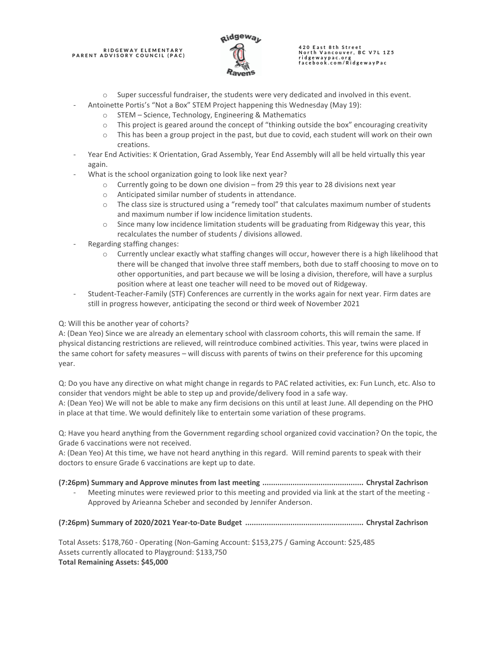

## 420 East 8th Street<br>North Vancouver, BC V7L 1Z5 ridgewaypac.org<br>facebook.com/RidgewayPac

- o Super successful fundraiser, the students were very dedicated and involved in this event.
- Antoinette Portis's "Not a Box" STEM Project happening this Wednesday (May 19):
	- o STEM Science, Technology, Engineering & Mathematics
	- $\circ$  This project is geared around the concept of "thinking outside the box" encouraging creativity
	- o This has been a group project in the past, but due to covid, each student will work on their own creations.
- Year End Activities: K Orientation, Grad Assembly, Year End Assembly will all be held virtually this year again.
- What is the school organization going to look like next year?
	- $\circ$  Currently going to be down one division from 29 this year to 28 divisions next year
	- o Anticipated similar number of students in attendance.
	- $\circ$  The class size is structured using a "remedy tool" that calculates maximum number of students and maximum number if low incidence limitation students.
	- o Since many low incidence limitation students will be graduating from Ridgeway this year, this recalculates the number of students / divisions allowed.
- Regarding staffing changes:
	- o Currently unclear exactly what staffing changes will occur, however there is a high likelihood that there will be changed that involve three staff members, both due to staff choosing to move on to other opportunities, and part because we will be losing a division, therefore, will have a surplus position where at least one teacher will need to be moved out of Ridgeway.
- Student-Teacher-Family (STF) Conferences are currently in the works again for next year. Firm dates are still in progress however, anticipating the second or third week of November 2021

### Q: Will this be another year of cohorts?

A: (Dean Yeo) Since we are already an elementary school with classroom cohorts, this will remain the same. If physical distancing restrictions are relieved, will reintroduce combined activities. This year, twins were placed in the same cohort for safety measures – will discuss with parents of twins on their preference for this upcoming year.

Q: Do you have any directive on what might change in regards to PAC related activities, ex: Fun Lunch, etc. Also to consider that vendors might be able to step up and provide/delivery food in a safe way.

A: (Dean Yeo) We will not be able to make any firm decisions on this until at least June. All depending on the PHO in place at that time. We would definitely like to entertain some variation of these programs.

Q: Have you heard anything from the Government regarding school organized covid vaccination? On the topic, the Grade 6 vaccinations were not received.

A: (Dean Yeo) At this time, we have not heard anything in this regard. Will remind parents to speak with their doctors to ensure Grade 6 vaccinations are kept up to date.

### **(7:26pm) Summary and Approve minutes from last meeting ............................................... Chrystal Zachrison**

- Meeting minutes were reviewed prior to this meeting and provided via link at the start of the meeting - Approved by Arieanna Scheber and seconded by Jennifer Anderson.

**(7:26pm) Summary of 2020/2021 Year-to-Date Budget ....................................................... Chrystal Zachrison**

Total Assets: \$178,760 - Operating (Non-Gaming Account: \$153,275 / Gaming Account: \$25,485 Assets currently allocated to Playground: \$133,750 **Total Remaining Assets: \$45,000**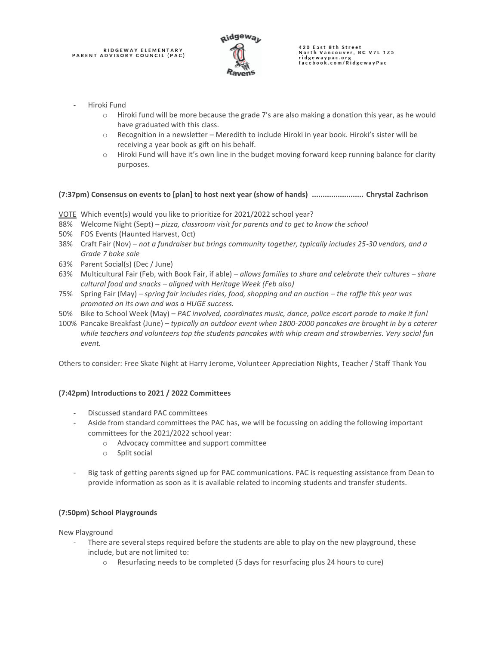

420 East 8th Street<br>North Vancouver, BC V7L 1Z5 ridgewaypac.org<br>facebook.com/RidgewayPac

- Hiroki Fund
	- $\circ$  Hiroki fund will be more because the grade 7's are also making a donation this year, as he would have graduated with this class.
	- o Recognition in a newsletter Meredith to include Hiroki in year book. Hiroki's sister will be receiving a year book as gift on his behalf.
	- $\circ$  Hiroki Fund will have it's own line in the budget moving forward keep running balance for clarity purposes.

### **(7:37pm) Consensus on events to [plan] to host next year (show of hands) ........................ Chrystal Zachrison**

- VOTE Which event(s) would you like to prioritize for 2021/2022 school year?
- 88% Welcome Night (Sept) *pizza, classroom visit for parents and to get to know the school*
- 50% FOS Events (Haunted Harvest, Oct)
- 38% Craft Fair (Nov) *not a fundraiser but brings community together, typically includes 25-30 vendors, and a Grade 7 bake sale*
- 63% Parent Social(s) (Dec / June)
- 63% Multicultural Fair (Feb, with Book Fair, if able) *allows families to share and celebrate their cultures share cultural food and snacks – aligned with Heritage Week (Feb also)*
- 75% Spring Fair (May) *spring fair includes rides, food, shopping and an auction the raffle this year was promoted on its own and was a HUGE success.*
- 50% Bike to School Week (May) *PAC involved, coordinates music, dance, police escort parade to make it fun!*
- 100% Pancake Breakfast (June) *– typically an outdoor event when 1800-2000 pancakes are brought in by a caterer while teachers and volunteers top the students pancakes with whip cream and strawberries. Very social fun event.*

Others to consider: Free Skate Night at Harry Jerome, Volunteer Appreciation Nights, Teacher / Staff Thank You

## **(7:42pm) Introductions to 2021 / 2022 Committees**

- Discussed standard PAC committees
- Aside from standard committees the PAC has, we will be focussing on adding the following important committees for the 2021/2022 school year:
	- o Advocacy committee and support committee
	- o Split social
- Big task of getting parents signed up for PAC communications. PAC is requesting assistance from Dean to provide information as soon as it is available related to incoming students and transfer students.

### **(7:50pm) School Playgrounds**

New Playground

- There are several steps required before the students are able to play on the new playground, these include, but are not limited to:
	- o Resurfacing needs to be completed (5 days for resurfacing plus 24 hours to cure)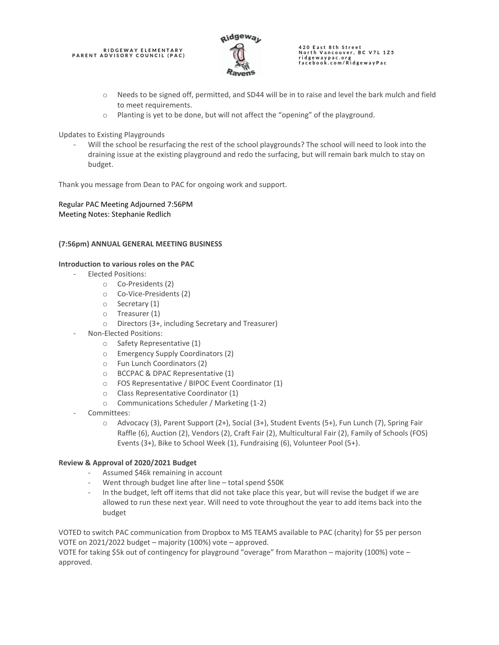

420 East 8th Street<br>North Vancouver, BC V7L 1Z5 ridgewaypac.org<br>facebook.com/RidgewayPac

- o Needs to be signed off, permitted, and SD44 will be in to raise and level the bark mulch and field to meet requirements.
- o Planting is yet to be done, but will not affect the "opening" of the playground.

Updates to Existing Playgrounds

Will the school be resurfacing the rest of the school playgrounds? The school will need to look into the draining issue at the existing playground and redo the surfacing, but will remain bark mulch to stay on budget.

Thank you message from Dean to PAC for ongoing work and support.

Regular PAC Meeting Adjourned 7:56PM Meeting Notes: Stephanie Redlich

#### **(7:56pm) ANNUAL GENERAL MEETING BUSINESS**

#### **Introduction to various roles on the PAC**

- Elected Positions:
	- o Co-Presidents (2)
	- o Co-Vice-Presidents (2)
	- o Secretary (1)
	- o Treasurer (1)
	- o Directors (3+, including Secretary and Treasurer)
- Non-Elected Positions:
	- o Safety Representative (1)
	- o Emergency Supply Coordinators (2)
	- o Fun Lunch Coordinators (2)
	- o BCCPAC & DPAC Representative (1)
	- o FOS Representative / BIPOC Event Coordinator (1)
	- o Class Representative Coordinator (1)
	- o Communications Scheduler / Marketing (1-2)
- Committees:
	- o Advocacy (3), Parent Support (2+), Social (3+), Student Events (5+), Fun Lunch (7), Spring Fair Raffle (6), Auction (2), Vendors (2), Craft Fair (2), Multicultural Fair (2), Family of Schools (FOS) Events (3+), Bike to School Week (1), Fundraising (6), Volunteer Pool (5+).

#### **Review & Approval of 2020/2021 Budget**

- Assumed \$46k remaining in account
- Went through budget line after line total spend \$50K
- In the budget, left off items that did not take place this year, but will revise the budget if we are allowed to run these next year. Will need to vote throughout the year to add items back into the budget

VOTED to switch PAC communication from Dropbox to MS TEAMS available to PAC (charity) for \$5 per person VOTE on 2021/2022 budget – majority (100%) vote – approved.

VOTE for taking \$5k out of contingency for playground "overage" from Marathon – majority (100%) vote – approved.